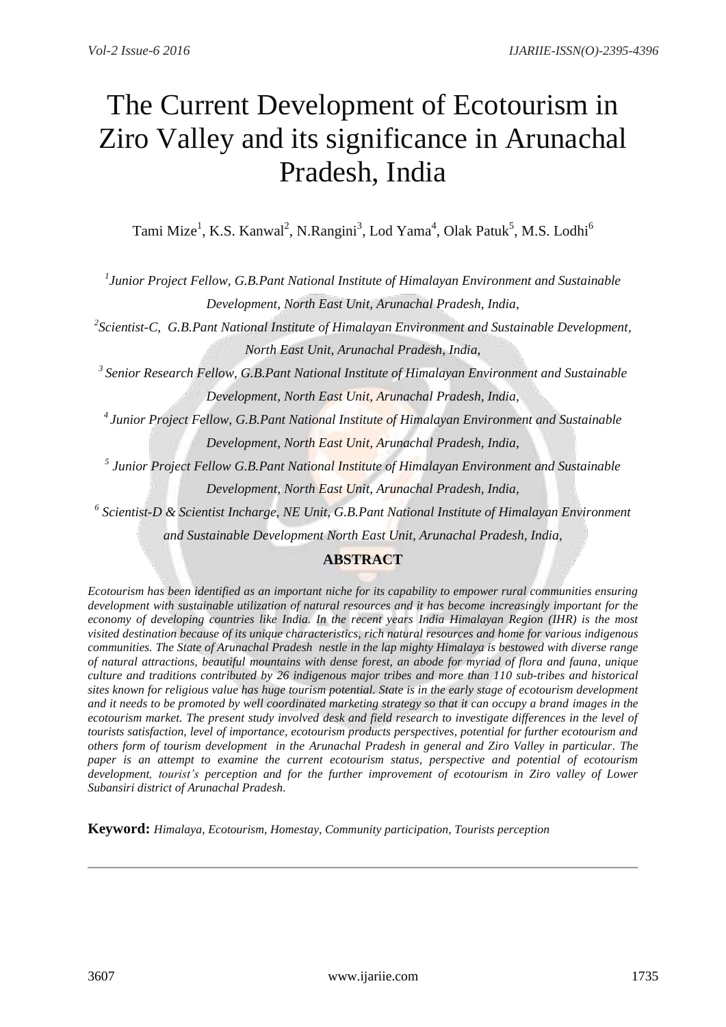# The Current Development of Ecotourism in Ziro Valley and its significance in Arunachal Pradesh, India

Tami Mize<sup>1</sup>, K.S. Kanwal<sup>2</sup>, N.Rangini<sup>3</sup>, Lod Yama<sup>4</sup>, Olak Patuk<sup>5</sup>, M.S. Lodhi<sup>6</sup>

*1 Junior Project Fellow, G.B.Pant National Institute of Himalayan Environment and Sustainable Development, North East Unit, Arunachal Pradesh, India,* 

*2 Scientist-C, G.B.Pant National Institute of Himalayan Environment and Sustainable Development, North East Unit, Arunachal Pradesh, India,*

*<sup>3</sup>Senior Research Fellow, G.B.Pant National Institute of Himalayan Environment and Sustainable Development, North East Unit, Arunachal Pradesh, India,*

*<sup>4</sup>Junior Project Fellow, G.B.Pant National Institute of Himalayan Environment and Sustainable Development, North East Unit, Arunachal Pradesh, India,*

*5 Junior Project Fellow G.B.Pant National Institute of Himalayan Environment and Sustainable* 

*Development, North East Unit, Arunachal Pradesh, India,*

*6 Scientist-D & Scientist Incharge, NE Unit, G.B.Pant National Institute of Himalayan Environment* 

*and Sustainable Development North East Unit, Arunachal Pradesh, India,*

## **ABSTRACT**

*Ecotourism has been identified as an important niche for its capability to empower rural communities ensuring development with sustainable utilization of natural resources and it has become increasingly important for the economy of developing countries like India. In the recent years India Himalayan Region (IHR) is the most visited destination because of its unique characteristics, rich natural resources and home for various indigenous communities. The State of Arunachal Pradesh nestle in the lap mighty Himalaya is bestowed with diverse range of natural attractions, beautiful mountains with dense forest, an abode for myriad of flora and fauna, unique culture and traditions contributed by 26 indigenous major tribes and more than 110 sub-tribes and historical sites known for religious value has huge tourism potential. State is in the early stage of ecotourism development and it needs to be promoted by well coordinated marketing strategy so that it can occupy a brand images in the ecotourism market. The present study involved desk and field research to investigate differences in the level of tourists satisfaction, level of importance, ecotourism products perspectives, potential for further ecotourism and others form of tourism development in the Arunachal Pradesh in general and Ziro Valley in particular. The paper is an attempt to examine the current ecotourism status, perspective and potential of ecotourism development, tourist's perception and for the further improvement of ecotourism in Ziro valley of Lower Subansiri district of Arunachal Pradesh.* 

**Keyword:** *Himalaya, Ecotourism, Homestay, Community participation, Tourists perception*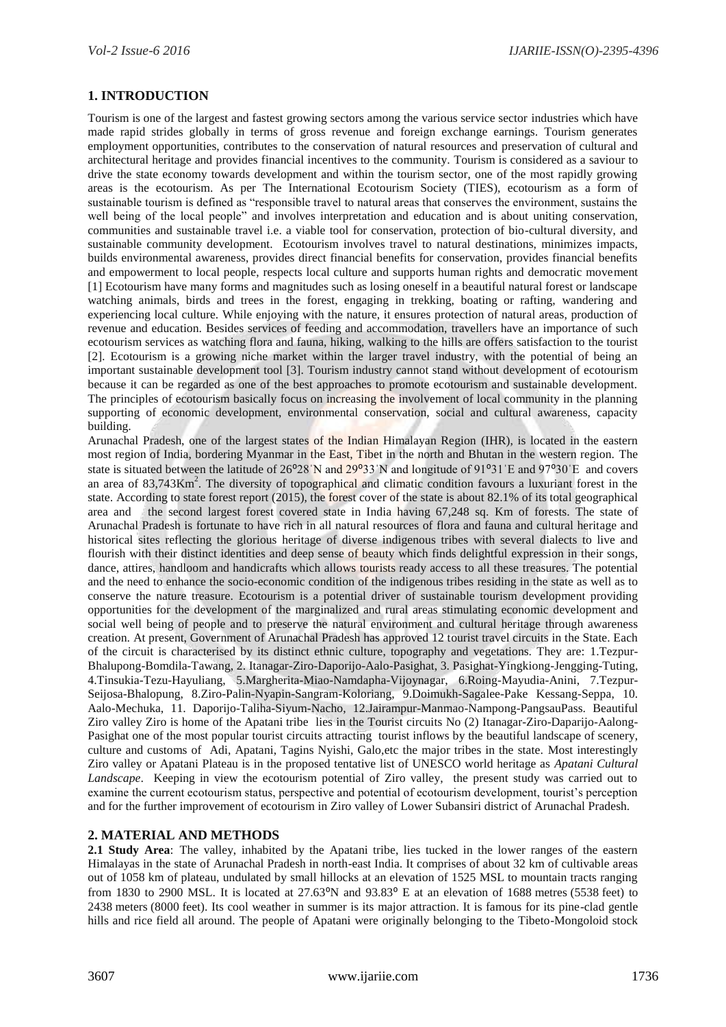### **1. INTRODUCTION**

Tourism is one of the largest and fastest growing sectors among the various service sector industries which have made rapid strides globally in terms of gross revenue and foreign exchange earnings. Tourism generates employment opportunities, contributes to the conservation of natural resources and preservation of cultural and architectural heritage and provides financial incentives to the community. Tourism is considered as a saviour to drive the state economy towards development and within the tourism sector, one of the most rapidly growing areas is the ecotourism. As per The International Ecotourism Society (TIES), ecotourism as a form of sustainable tourism is defined as "responsible travel to natural areas that conserves the environment, sustains the well being of the local people" and involves interpretation and education and is about uniting conservation, communities and sustainable travel i.e. a viable tool for conservation, protection of bio-cultural diversity, and sustainable community development. Ecotourism involves travel to natural destinations, minimizes impacts, builds environmental awareness, provides direct financial benefits for conservation, provides financial benefits and empowerment to local people, respects local culture and supports human rights and democratic movement [1] Ecotourism have many forms and magnitudes such as losing oneself in a beautiful natural forest or landscape watching animals, birds and trees in the forest, engaging in trekking, boating or rafting, wandering and experiencing local culture. While enjoying with the nature, it ensures protection of natural areas, production of revenue and education. Besides services of feeding and accommodation, travellers have an importance of such ecotourism services as watching flora and fauna, hiking, walking to the hills are offers satisfaction to the tourist [2]. Ecotourism is a growing niche market within the larger travel industry, with the potential of being an important sustainable development tool [3]. Tourism industry cannot stand without development of ecotourism because it can be regarded as one of the best approaches to promote ecotourism and sustainable development. The principles of ecotourism basically focus on increasing the involvement of local community in the planning supporting of economic development, environmental conservation, social and cultural awareness, capacity building.

Arunachal Pradesh, one of the largest states of the Indian Himalayan Region (IHR), is located in the eastern most region of India, bordering Myanmar in the East, Tibet in the north and Bhutan in the western region. The state is situated between the latitude of  $26^{\circ}28'N$  and  $29^{\circ}33'N$  and longitude of  $91^{\circ}31'E$  and  $97^{\circ}30'E$  and covers an area of 83,743Km<sup>2</sup>. The diversity of topographical and climatic condition favours a luxuriant forest in the state. According to state forest report (2015), the forest cover of the state is about 82.1% of its total geographical area and the second largest forest covered state in India having 67,248 sq. Km of forests. The state of Arunachal Pradesh is fortunate to have rich in all natural resources of flora and fauna and cultural heritage and historical sites reflecting the glorious heritage of diverse indigenous tribes with several dialects to live and flourish with their distinct identities and deep sense of beauty which finds delightful expression in their songs, dance, attires, handloom and handicrafts which allows tourists ready access to all these treasures. The potential and the need to enhance the socio-economic condition of the indigenous tribes residing in the state as well as to conserve the nature treasure. Ecotourism is a potential driver of sustainable tourism development providing opportunities for the development of the marginalized and rural areas stimulating economic development and social well being of people and to preserve the natural environment and cultural heritage through awareness creation. At present, Government of Arunachal Pradesh has approved 12 tourist travel circuits in the State. Each of the circuit is characterised by its distinct ethnic culture, topography and vegetations. They are: 1.Tezpur-Bhalupong-Bomdila-Tawang, 2. Itanagar-Ziro-Daporijo-Aalo-Pasighat, 3. Pasighat-Yingkiong-Jengging-Tuting, 4.Tinsukia-Tezu-Hayuliang, 5.Margherita-Miao-Namdapha-Vijoynagar, 6.Roing-Mayudia-Anini, 7.Tezpur-Seijosa-Bhalopung, 8.Ziro-Palin-Nyapin-Sangram-Koloriang, 9.Doimukh-Sagalee-Pake Kessang-Seppa, 10. Aalo-Mechuka, 11. Daporijo-Taliha-Siyum-Nacho, 12.Jairampur-Manmao-Nampong-PangsauPass. Beautiful Ziro valley Ziro is home of the [Apatani](https://en.wikipedia.org/wiki/Apatani_people) tribe lies in the Tourist circuits No (2) Itanagar-Ziro-Daparijo-Aalong-Pasighat one of the most popular tourist circuits attracting tourist inflows by the beautiful landscape of scenery, culture and customs of Adi, Apatani, Tagins Nyishi, Galo,etc the major tribes in the state. Most interestingly Ziro valley or Apatani Plateau is in the proposed tentative list of UNESCO world heritage as *Apatani Cultural Landscape*. Keeping in view the ecotourism potential of Ziro valley, the present study was carried out to examine the current ecotourism status, perspective and potential of ecotourism development, tourist"s perception and for the further improvement of ecotourism in Ziro valley of Lower Subansiri district of Arunachal Pradesh.

#### **2. MATERIAL AND METHODS**

**2.1 Study Area**: The valley, inhabited by the Apatani tribe, lies tucked in the lower ranges of the eastern Himalayas in the state of Arunachal Pradesh in north-east India. It comprises of about 32 km of cultivable areas out of 1058 km of plateau, undulated by small hillocks at an elevation of 1525 MSL to mountain tracts ranging from 1830 to 2900 MSL. It is located at  $27.63^{\circ}$ N and  $93.83^{\circ}$  E at an elevation of 1688 [metres](https://en.wikipedia.org/wiki/Metre) (5538 [feet\)](https://en.wikipedia.org/wiki/Foot_(length)) to 2438 [meters](https://en.wikipedia.org/wiki/Meter) (8000 [feet\)](https://en.wikipedia.org/wiki/Foot_(length)). Its cool weather in summer is its major attraction. It is famous for its pine-clad gentle hills and rice field all around. The people of Apatani were originally belonging to the Tibeto-Mongoloid stock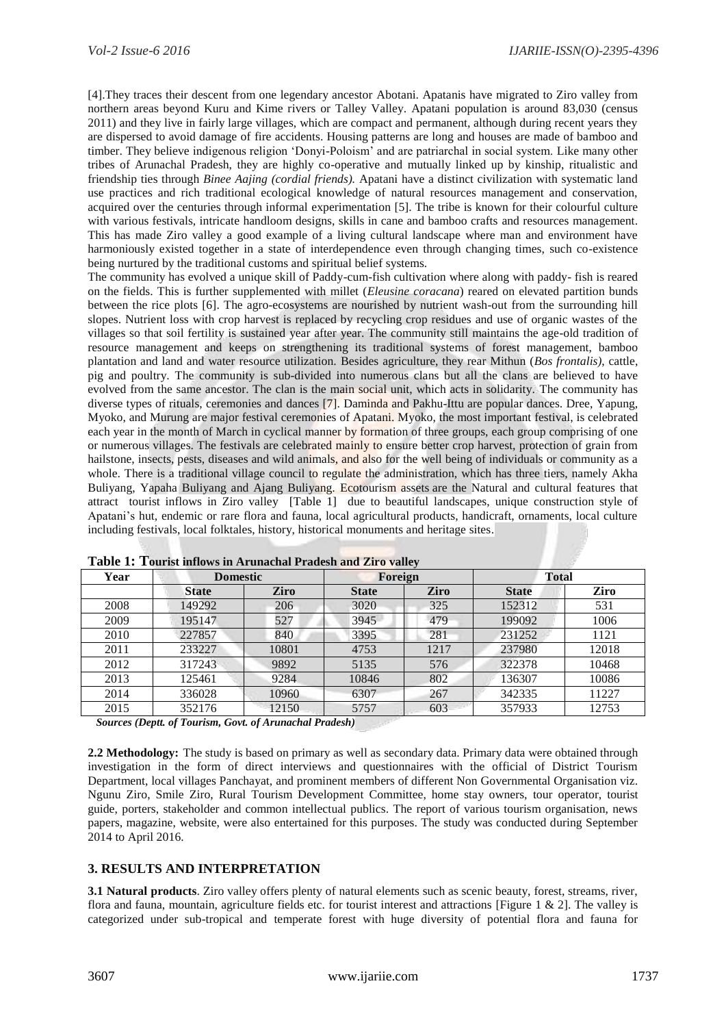[4].They traces their descent from one legendary ancestor Abotani. Apatanis have migrated to Ziro valley from northern areas beyond Kuru and Kime rivers or Talley Valley. Apatani population is around 83,030 (census 2011) and they live in fairly large villages, which are compact and permanent, although during recent years they are dispersed to avoid damage of fire accidents. Housing patterns are long and houses are made of bamboo and timber. They believe indigenous religion "Donyi-Poloism" and are patriarchal in social system. Like many other tribes of Arunachal Pradesh, they are highly co-operative and mutually linked up by kinship, ritualistic and friendship ties through *Binee Aajing (cordial friends).* Apatani have a distinct civilization with systematic land use practices and rich traditional ecological knowledge of natural resources management and conservation, acquired over the centuries through informal experimentation [5]. The tribe is known for their colourful culture with various festivals, intricate handloom designs, skills in cane and bamboo crafts and resources management. This has made Ziro valley a good example of a living cultural landscape where man and environment have harmoniously existed together in a state of interdependence even through changing times, such co-existence being nurtured by the traditional customs and spiritual belief systems.

The community has evolved a unique skill of Paddy-cum-fish cultivation where along with paddy- fish is reared on the fields. This is further supplemented with millet (*Eleusine coracana*) reared on elevated partition bunds between the rice plots [6]. The agro-ecosystems are nourished by nutrient wash-out from the surrounding hill slopes. Nutrient loss with crop harvest is replaced by recycling crop residues and use of organic wastes of the villages so that soil fertility is sustained year after year. The community still maintains the age-old tradition of resource management and keeps on strengthening its traditional systems of forest management, bamboo plantation and land and water resource utilization. Besides agriculture, they rear Mithun (*Bos frontalis)*, cattle, pig and poultry. The community is sub-divided into numerous clans but all the clans are believed to have evolved from the same ancestor. The clan is the main social unit, which acts in solidarity. The community has diverse types of rituals, ceremonies and dances [7]. Daminda and Pakhu-Ittu are popular dances. Dree, Yapung, Myoko, and Murung are major festival ceremonies of Apatani. Myoko, the most important festival, is celebrated each year in the month of March in cyclical manner by formation of three groups, each group comprising of one or numerous villages. The festivals are celebrated mainly to ensure better crop harvest, protection of grain from hailstone, insects, pests, diseases and wild animals, and also for the well being of individuals or community as a whole. There is a traditional village council to regulate the administration, which has three tiers, namely Akha Buliyang, Yapaha Buliyang and Ajang Buliyang. Ecotourism assets are the Natural and cultural features that attract tourist inflows in Ziro valley [Table 1] due to beautiful landscapes, unique construction style of Apatani's hut, endemic or rare flora and fauna, local agricultural products, handicraft, ornaments, local culture including festivals, local folktales, history, historical monuments and heritage sites.

| Year | <b>Domestic</b> |       | Foreign      |             | Total        |       |
|------|-----------------|-------|--------------|-------------|--------------|-------|
|      | <b>State</b>    | Ziro  | <b>State</b> | <b>Ziro</b> | <b>State</b> | Ziro  |
| 2008 | 149292          | 206   | 3020         | 325         | 152312       | 531   |
| 2009 | 195147          | 527   | 3945         | 479         | 199092       | 1006  |
| 2010 | 227857          | 840   | 3395         | 281         | 231252       | 1121  |
| 2011 | 233227          | 10801 | 4753         | 1217        | 237980       | 12018 |
| 2012 | 317243          | 9892  | 5135         | 576         | 322378       | 10468 |
| 2013 | 125461          | 9284  | 10846        | 802         | 136307       | 10086 |
| 2014 | 336028          | 10960 | 6307         | 267         | 342335       | 11227 |
| 2015 | 352176          | 12150 | 5757         | 603         | 357933       | 12753 |

**Table 1: Tourist inflows in Arunachal Pradesh and Ziro valley** 

 *Sources (Deptt. of Tourism, Govt. of Arunachal Pradesh)*

**2.2 Methodology:** The study is based on primary as well as secondary data. Primary data were obtained through investigation in the form of direct interviews and questionnaires with the official of District Tourism Department, local villages Panchayat, and prominent members of different Non Governmental Organisation viz. Ngunu Ziro, Smile Ziro, Rural Tourism Development Committee, home stay owners, tour operator, tourist guide, porters, stakeholder and common intellectual publics. The report of various tourism organisation, news papers, magazine, website, were also entertained for this purposes. The study was conducted during September 2014 to April 2016.

#### **3. RESULTS AND INTERPRETATION**

**3.1 Natural products**. Ziro valley offers plenty of natural elements such as scenic beauty, forest, streams, river, flora and fauna, mountain, agriculture fields etc. for tourist interest and attractions [Figure 1  $\&$  2]. The valley is categorized under sub-tropical and temperate forest with huge diversity of potential flora and fauna for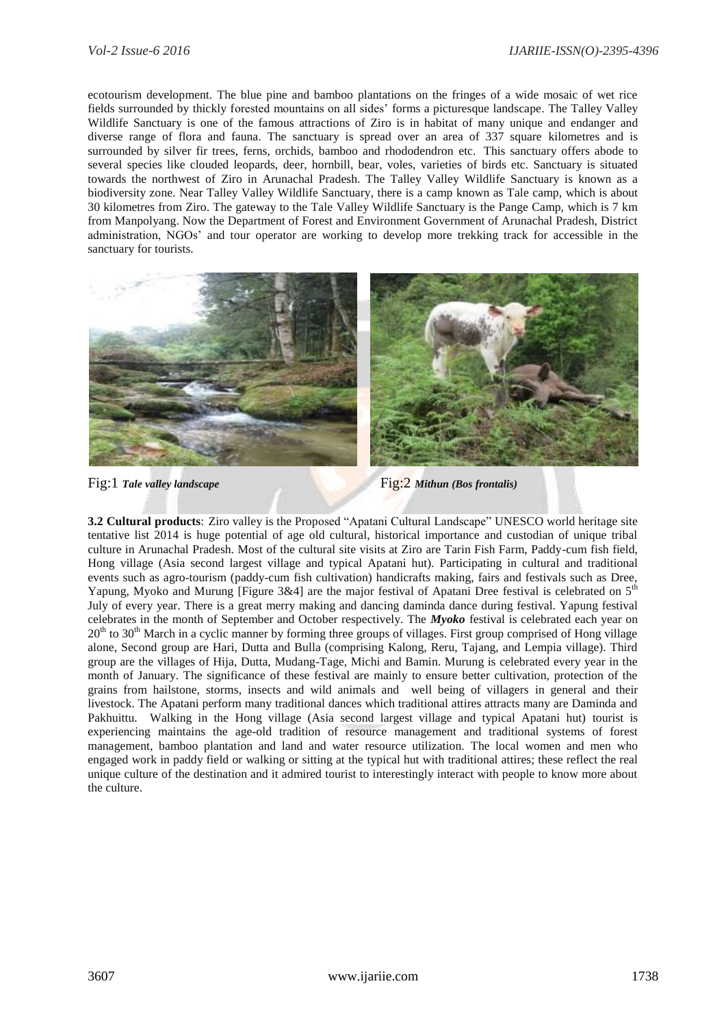ecotourism development. The blue pine and bamboo plantations on the fringes of a wide mosaic of wet rice fields surrounded by thickly forested mountains on all sides" forms a picturesque landscape. The Talley Valley Wildlife Sanctuary is one of the famous attractions of Ziro is in habitat of many unique and endanger and diverse range of flora and fauna. The sanctuary is spread over an area of 337 square kilometres and is surrounded by silver fir trees, ferns, orchids, bamboo and rhododendron etc. This sanctuary offers abode to several species like clouded leopards, deer, hornbill, bear, voles, varieties of birds etc. Sanctuary is situated towards the northwest of Ziro in Arunachal Pradesh. The Talley Valley Wildlife Sanctuary is known as a biodiversity zone. Near Talley Valley Wildlife Sanctuary, there is a camp known as Tale camp, which is about 30 kilometres from Ziro. The gateway to the Tale Valley Wildlife Sanctuary is the Pange Camp, which is 7 km from Manpolyang. Now the Department of Forest and Environment Government of Arunachal Pradesh, District administration, NGOs" and tour operator are working to develop more trekking track for accessible in the sanctuary for tourists.



Fig:1 *Tale valley landscape* Fig:2 *Mithun (Bos frontalis)*

**3.2 Cultural products**: Ziro valley is the Proposed "Apatani Cultural Landscape" UNESCO world heritage site tentative list 2014 is huge potential of age old cultural, historical importance and custodian of unique tribal culture in Arunachal Pradesh. Most of the cultural site visits at Ziro are Tarin Fish Farm, Paddy-cum fish field, Hong village (Asia second largest village and typical Apatani hut). Participating in cultural and traditional events such as agro-tourism (paddy-cum fish cultivation) handicrafts making, fairs and festivals such as Dree, Yapung, Myoko and Murung [Figure 3&4] are the major festival of Apatani Dree festival is celebrated on  $5<sup>th</sup>$ July of every year. There is a great merry making and dancing daminda dance during festival. Yapung festival celebrates in the month of September and October respectively. The *Myoko* festival is celebrated each year on  $20<sup>th</sup>$  to  $30<sup>th</sup>$  March in a cyclic manner by forming three groups of villages. First group comprised of Hong village alone, Second group are Hari, Dutta and Bulla (comprising Kalong, Reru, Tajang, and Lempia village). Third group are the villages of Hija, Dutta, Mudang-Tage, Michi and Bamin. Murung is celebrated every year in the month of January. The significance of these festival are mainly to ensure better cultivation, protection of the grains from hailstone, storms, insects and wild animals and well being of villagers in general and their livestock. The Apatani perform many traditional dances which traditional attires attracts many are Daminda and Pakhuittu. Walking in the Hong village (Asia second largest village and typical Apatani hut) tourist is experiencing maintains the age-old tradition of resource management and traditional systems of forest management, bamboo plantation and land and water resource utilization. The local women and men who engaged work in paddy field or walking or sitting at the typical hut with traditional attires; these reflect the real unique culture of the destination and it admired tourist to interestingly interact with people to know more about the culture.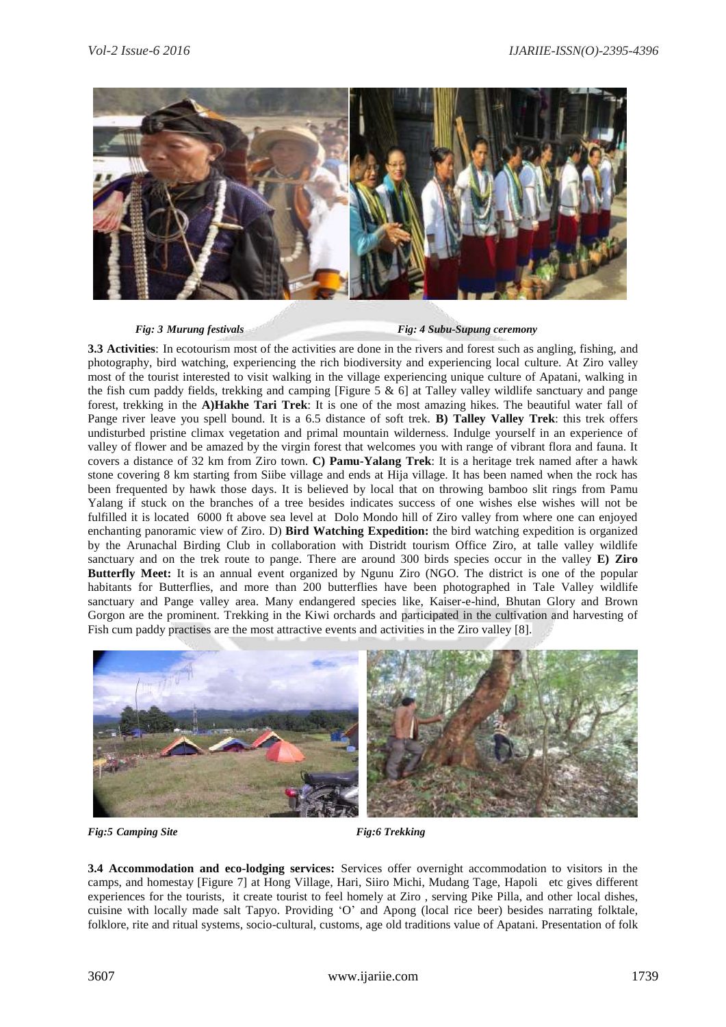

*Fig: 3 Murung festivals* Fig: 4 Subu-Supung ceremony

**3.3 Activities**: In ecotourism most of the activities are done in the rivers and forest such as angling, fishing, and photography, bird watching, experiencing the rich biodiversity and experiencing local culture. At Ziro valley most of the tourist interested to visit walking in the village experiencing unique culture of Apatani, walking in the fish cum paddy fields, trekking and camping [Figure 5  $\&$  6] at Talley valley wildlife sanctuary and pange forest, trekking in the **A)Hakhe Tari Trek**: It is one of the most amazing hikes. The beautiful water fall of Pange river leave you spell bound. It is a 6.5 distance of soft trek. **B) Talley Valley Trek**: this trek offers undisturbed pristine climax vegetation and primal mountain wilderness. Indulge yourself in an experience of valley of flower and be amazed by the virgin forest that welcomes you with range of vibrant flora and fauna. It covers a distance of 32 km from Ziro town. **C) Pamu-Yalang Trek**: It is a heritage trek named after a hawk stone covering 8 km starting from Siibe village and ends at Hija village. It has been named when the rock has been frequented by hawk those days. It is believed by local that on throwing bamboo slit rings from Pamu Yalang if stuck on the branches of a tree besides indicates success of one wishes else wishes will not be fulfilled it is located 6000 ft above sea level at Dolo Mondo hill of Ziro valley from where one can enjoyed enchanting panoramic view of Ziro. D) **Bird Watching Expedition:** the bird watching expedition is organized by the Arunachal Birding Club in collaboration with Distridt tourism Office Ziro, at talle valley wildlife sanctuary and on the trek route to pange. There are around 300 birds species occur in the valley **E) Ziro Butterfly Meet:** It is an annual event organized by Ngunu Ziro (NGO. The district is one of the popular habitants for Butterflies, and more than 200 butterflies have been photographed in Tale Valley wildlife sanctuary and Pange valley area. Many endangered species like, Kaiser-e-hind, Bhutan Glory and Brown Gorgon are the prominent. Trekking in the Kiwi orchards and participated in the cultivation and harvesting of Fish cum paddy practises are the most attractive events and activities in the Ziro valley [8].



*Fig:5 Camping Site* Fig:6 *Trekking* 

**3.4 Accommodation and eco-lodging services:** Services offer overnight accommodation to visitors in the camps, and homestay [Figure 7] at Hong Village, Hari, Siiro Michi, Mudang Tage, Hapoli etc gives different experiences for the tourists, it create tourist to feel homely at Ziro , serving Pike Pilla, and other local dishes, cuisine with locally made salt Tapyo. Providing "O" and Apong (local rice beer) besides narrating folktale, folklore, rite and ritual systems, socio-cultural, customs, age old traditions value of Apatani. Presentation of folk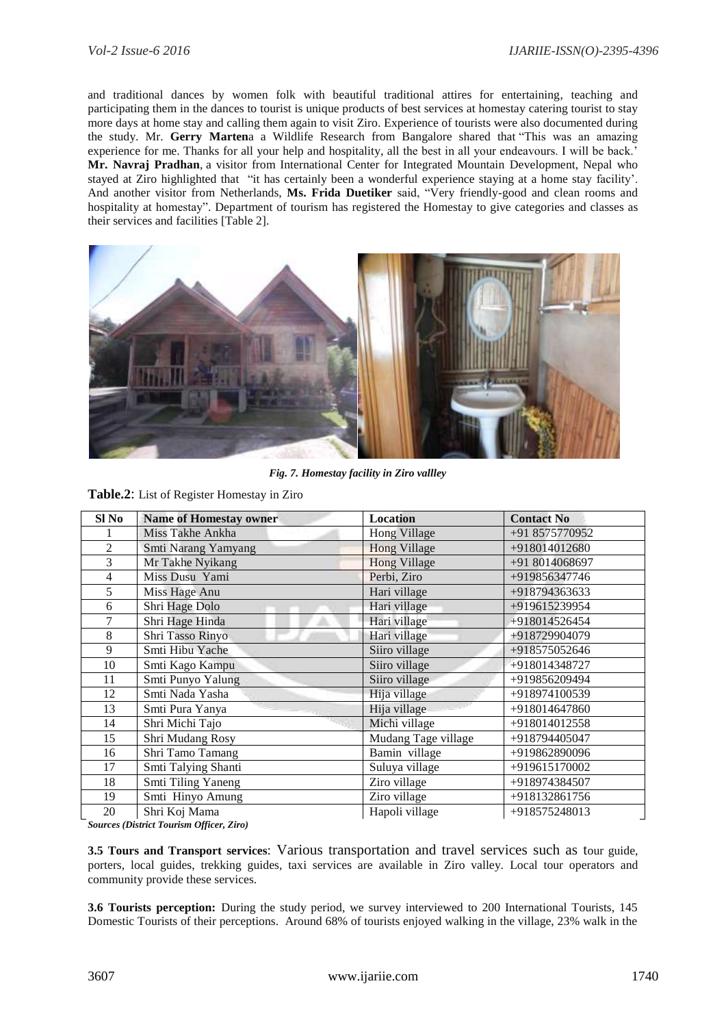and traditional dances by women folk with beautiful traditional attires for entertaining, teaching and participating them in the dances to tourist is unique products of best services at homestay catering tourist to stay more days at home stay and calling them again to visit Ziro. Experience of tourists were also documented during the study. Mr. **Gerry Marten**a a Wildlife Research from Bangalore shared that "This was an amazing experience for me. Thanks for all your help and hospitality, all the best in all your endeavours. I will be back." **Mr. Navraj Pradhan**, a visitor from International Center for Integrated Mountain Development, Nepal who stayed at Ziro highlighted that "it has certainly been a wonderful experience staying at a home stay facility". And another visitor from Netherlands, **Ms. Frida Duetiker** said, "Very friendly-good and clean rooms and hospitality at homestay". Department of tourism has registered the Homestay to give categories and classes as their services and facilities [Table 2].



 *Fig. 7. Homestay facility in Ziro vallley*

**Table.2**: List of Register Homestay in Ziro

| Sl No          | <b>Name of Homestay owner</b> | <b>Location</b>     | <b>Contact No</b> |
|----------------|-------------------------------|---------------------|-------------------|
|                | Miss Takhe Ankha              | Hong Village        | +91 8575770952    |
| $\overline{2}$ | Smti Narang Yamyang           | <b>Hong Village</b> | +918014012680     |
| 3              | Mr Takhe Nyikang              | <b>Hong Village</b> | +91 8014068697    |
| $\overline{4}$ | Miss Dusu Yami                | Perbi, Ziro         | +919856347746     |
| 5              | Miss Hage Anu                 | Hari village        | +918794363633     |
| 6              | Shri Hage Dolo                | Hari village        | +919615239954     |
| 7              | Shri Hage Hinda               | Hari village        | +918014526454     |
| 8              | Shri Tasso Rinyo              | Hari village        | +918729904079     |
| 9              | Smti Hibu Yache               | Siiro village       | +918575052646     |
| 10             | Smti Kago Kampu               | Siiro village       | +918014348727     |
| 11             | Smti Punyo Yalung             | Siiro village       | +919856209494     |
| 12             | Smti Nada Yasha               | Hija village        | +918974100539     |
| 13             | Smti Pura Yanya               | Hija village        | +918014647860     |
| 14             | Shri Michi Tajo               | Michi village       | +918014012558     |
| 15             | Shri Mudang Rosy              | Mudang Tage village | +918794405047     |
| 16             | Shri Tamo Tamang              | Bamin village       | +919862890096     |
| 17             | Smti Talying Shanti           | Suluya village      | +919615170002     |
| 18             | Smti Tiling Yaneng            | Ziro village        | +918974384507     |
| 19             | Smti Hinyo Amung              | Ziro village        | +918132861756     |
| 20             | Shri Koj Mama                 | Hapoli village      | +918575248013     |

*Sources (District Tourism Officer, Ziro)*

**3.5 Tours and Transport services**: Various transportation and travel services such as tour guide, porters, local guides, trekking guides, taxi services are available in Ziro valley. Local tour operators and community provide these services.

**3.6 Tourists perception:** During the study period, we survey interviewed to 200 International Tourists, 145 Domestic Tourists of their perceptions. Around 68% of tourists enjoyed walking in the village, 23% walk in the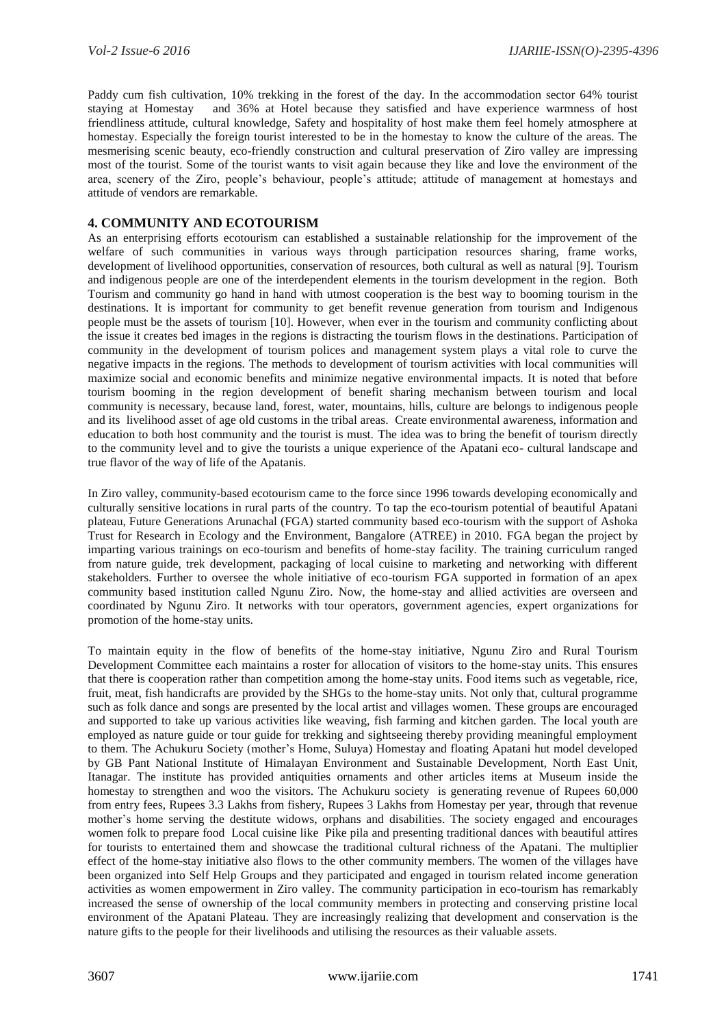Paddy cum fish cultivation, 10% trekking in the forest of the day. In the accommodation sector 64% tourist staying at Homestay and 36% at Hotel because they satisfied and have experience warmness of host friendliness attitude, cultural knowledge, Safety and hospitality of host make them feel homely atmosphere at homestay. Especially the foreign tourist interested to be in the homestay to know the culture of the areas. The mesmerising scenic beauty, eco-friendly construction and cultural preservation of Ziro valley are impressing most of the tourist. Some of the tourist wants to visit again because they like and love the environment of the area, scenery of the Ziro, people"s behaviour, people"s attitude; attitude of management at homestays and attitude of vendors are remarkable.

#### **4. COMMUNITY AND ECOTOURISM**

As an enterprising efforts ecotourism can established a sustainable relationship for the improvement of the welfare of such communities in various ways through participation resources sharing, frame works, development of livelihood opportunities, conservation of resources, both cultural as well as natural [9]. Tourism and indigenous people are one of the interdependent elements in the tourism development in the region. Both Tourism and community go hand in hand with utmost cooperation is the best way to booming tourism in the destinations. It is important for community to get benefit revenue generation from tourism and Indigenous people must be the assets of tourism [10]. However, when ever in the tourism and community conflicting about the issue it creates bed images in the regions is distracting the tourism flows in the destinations. Participation of community in the development of tourism polices and management system plays a vital role to curve the negative impacts in the regions. The methods to development of tourism activities with local communities will maximize social and economic benefits and minimize negative environmental impacts. It is noted that before tourism booming in the region development of benefit sharing mechanism between tourism and local community is necessary, because land, forest, water, mountains, hills, culture are belongs to indigenous people and its livelihood asset of age old customs in the tribal areas. Create environmental awareness, information and education to both host community and the tourist is must. The idea was to bring the benefit of tourism directly to the community level and to give the tourists a unique experience of the Apatani eco- cultural landscape and true flavor of the way of life of the Apatanis.

In Ziro valley, community-based ecotourism came to the force since 1996 towards developing economically and culturally sensitive locations in rural parts of the country. To tap the eco-tourism potential of beautiful Apatani plateau, Future Generations Arunachal (FGA) started community based eco-tourism with the support of Ashoka Trust for Research in Ecology and the Environment, Bangalore (ATREE) in 2010. FGA began the project by imparting various trainings on eco-tourism and benefits of home-stay facility. The training curriculum ranged from nature guide, trek development, packaging of local cuisine to marketing and networking with different stakeholders. Further to oversee the whole initiative of eco-tourism FGA supported in formation of an apex community based institution called Ngunu Ziro. Now, the home-stay and allied activities are overseen and coordinated by Ngunu Ziro. It networks with tour operators, government agencies, expert organizations for promotion of the home-stay units.

To maintain equity in the flow of benefits of the home-stay initiative, Ngunu Ziro and Rural Tourism Development Committee each maintains a roster for allocation of visitors to the home-stay units. This ensures that there is cooperation rather than competition among the home-stay units. Food items such as vegetable, rice, fruit, meat, fish handicrafts are provided by the SHGs to the home-stay units. Not only that, cultural programme such as folk dance and songs are presented by the local artist and villages women. These groups are encouraged and supported to take up various activities like weaving, fish farming and kitchen garden. The local youth are employed as nature guide or tour guide for trekking and sightseeing thereby providing meaningful employment to them. The Achukuru Society (mother"s Home, Suluya) Homestay and floating Apatani hut model developed by GB Pant National Institute of Himalayan Environment and Sustainable Development, North East Unit, Itanagar. The institute has provided antiquities ornaments and other articles items at Museum inside the homestay to strengthen and woo the visitors. The Achukuru society is generating revenue of Rupees 60,000 from entry fees, Rupees 3.3 Lakhs from fishery, Rupees 3 Lakhs from Homestay per year, through that revenue mother"s home serving the destitute widows, orphans and disabilities. The society engaged and encourages women folk to prepare food Local cuisine like Pike pila and presenting traditional dances with beautiful attires for tourists to entertained them and showcase the traditional cultural richness of the Apatani. The multiplier effect of the home-stay initiative also flows to the other community members. The women of the villages have been organized into Self Help Groups and they participated and engaged in tourism related income generation activities as women empowerment in Ziro valley. The community participation in eco-tourism has remarkably increased the sense of ownership of the local community members in protecting and conserving pristine local environment of the Apatani Plateau. They are increasingly realizing that development and conservation is the nature gifts to the people for their livelihoods and utilising the resources as their valuable assets.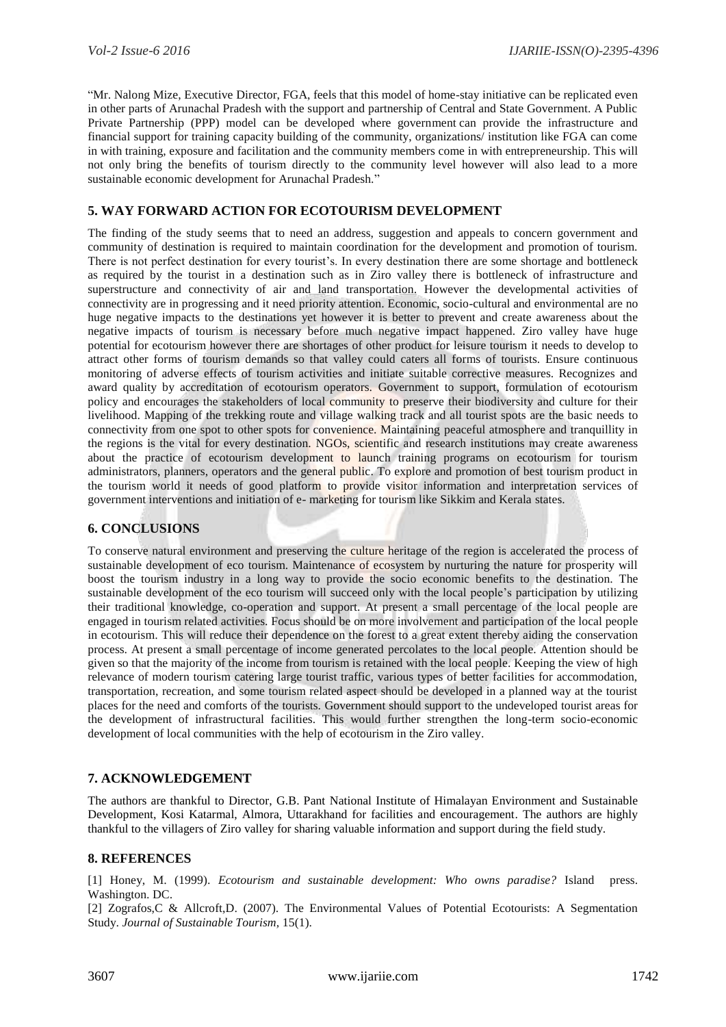"Mr. Nalong Mize, Executive Director, FGA, feels that this model of home-stay initiative can be replicated even in other parts of Arunachal Pradesh with the support and partnership of Central and State Government. A Public Private Partnership (PPP) model can be developed where government can provide the infrastructure and financial support for training capacity building of the community, organizations/ institution like FGA can come in with training, exposure and facilitation and the community members come in with entrepreneurship. This will not only bring the benefits of tourism directly to the community level however will also lead to a more sustainable economic development for Arunachal Pradesh."

#### **5. WAY FORWARD ACTION FOR ECOTOURISM DEVELOPMENT**

The finding of the study seems that to need an address, suggestion and appeals to concern government and community of destination is required to maintain coordination for the development and promotion of tourism. There is not perfect destination for every tourist's. In every destination there are some shortage and bottleneck as required by the tourist in a destination such as in Ziro valley there is bottleneck of infrastructure and superstructure and connectivity of air and land transportation. However the developmental activities of connectivity are in progressing and it need priority attention. Economic, socio-cultural and environmental are no huge negative impacts to the destinations yet however it is better to prevent and create awareness about the negative impacts of tourism is necessary before much negative impact happened. Ziro valley have huge potential for ecotourism however there are shortages of other product for leisure tourism it needs to develop to attract other forms of tourism demands so that valley could caters all forms of tourists. Ensure continuous monitoring of adverse effects of tourism activities and initiate suitable corrective measures. Recognizes and award quality by accreditation of ecotourism operators. Government to support, formulation of ecotourism policy and encourages the stakeholders of local community to preserve their biodiversity and culture for their livelihood. Mapping of the trekking route and village walking track and all tourist spots are the basic needs to connectivity from one spot to other spots for convenience. Maintaining peaceful atmosphere and tranquillity in the regions is the vital for every destination. NGOs, scientific and research institutions may create awareness about the practice of ecotourism development to launch training programs on ecotourism for tourism administrators, planners, operators and the general public. To explore and promotion of best tourism product in the tourism world it needs of good platform to provide visitor information and interpretation services of government interventions and initiation of e- marketing for tourism like Sikkim and Kerala states.

#### **6. CONCLUSIONS**

To conserve natural environment and preserving the culture heritage of the region is accelerated the process of sustainable development of eco tourism. Maintenance of ecosystem by nurturing the nature for prosperity will boost the tourism industry in a long way to provide the socio economic benefits to the destination. The sustainable development of the eco tourism will succeed only with the local people"s participation by utilizing their traditional knowledge, co-operation and support. At present a small percentage of the local people are engaged in tourism related activities. Focus should be on more involvement and participation of the local people in ecotourism. This will reduce their dependence on the forest to a great extent thereby aiding the conservation process. At present a small percentage of income generated percolates to the local people. Attention should be given so that the majority of the income from tourism is retained with the local people. Keeping the view of high relevance of modern tourism catering large tourist traffic, various types of better facilities for accommodation, transportation, recreation, and some tourism related aspect should be developed in a planned way at the tourist places for the need and comforts of the tourists. Government should support to the undeveloped tourist areas for the development of infrastructural facilities. This would further strengthen the long-term socio-economic development of local communities with the help of ecotourism in the Ziro valley.

#### **7. ACKNOWLEDGEMENT**

The authors are thankful to Director, G.B. Pant National Institute of Himalayan Environment and Sustainable Development, Kosi Katarmal, Almora, Uttarakhand for facilities and encouragement. The authors are highly thankful to the villagers of Ziro valley for sharing valuable information and support during the field study.

#### **8. REFERENCES**

[1] Honey, M. (1999). *Ecotourism and sustainable development: Who owns paradise?* Island press. Washington. DC.

[2] Zografos,C & Allcroft,D. (2007). The Environmental Values of Potential Ecotourists: A Segmentation Study. *[Journal of Sustainable Tourism,](https://www.researchgate.net/journal/0966-9582_Journal_of_Sustainable_Tourism)* 15(1).